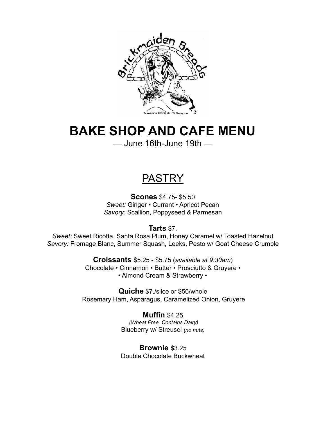

# **BAKE SHOP AND CAFE MENU**

— June 16th-June 19th —

# **PASTRY**

**Scones** \$4.75- \$5.50 *Sweet:* Ginger • Currant • Apricot Pecan *Savory:* Scallion, Poppyseed & Parmesan

**Tarts** \$7.

*Sweet:* Sweet Ricotta, Santa Rosa Plum, Honey Caramel w/ Toasted Hazelnut *Savory:* Fromage Blanc, Summer Squash, Leeks, Pesto w/ Goat Cheese Crumble

> **Croissants** \$5.25 - \$5.75 (*available at 9:30am*) Chocolate • Cinnamon • Butter • Prosciutto & Gruyere • • Almond Cream & Strawberry •

**Quiche** \$7./slice or \$56/whole Rosemary Ham, Asparagus, Caramelized Onion, Gruyere

> **Muffin** \$4.25 *(Wheat Free, Contains Dairy)* Blueberry w/ Streusel *(no nuts)*

> **Brownie** \$3.25 Double Chocolate Buckwheat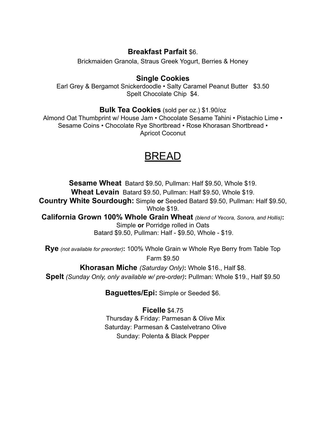### **Breakfast Parfait** \$6.

Brickmaiden Granola, Straus Greek Yogurt, Berries & Honey

### **Single Cookies**

Earl Grey & Bergamot Snickerdoodle • Salty Caramel Peanut Butter \$3.50 Spelt Chocolate Chip \$4.

**Bulk Tea Cookies** (sold per oz.) \$1.90/oz

Almond Oat Thumbprint w/ House Jam • Chocolate Sesame Tahini • Pistachio Lime • Sesame Coins • Chocolate Rye Shortbread • Rose Khorasan Shortbread • Apricot Coconut

## BREAD

**Sesame Wheat** Batard \$9.50, Pullman: Half \$9.50, Whole \$19. **Wheat Levain** Batard \$9.50, Pullman: Half \$9.50, Whole \$19. **Country White Sourdough:** Simple **or** Seeded Batard \$9.50, Pullman: Half \$9.50, Whole \$19. **California Grown 100% Whole Grain Wheat** *(blend of Yecora, Sonora, and Hollis)***:** Simple **or** Porridge rolled in Oats

Batard \$9.50, Pullman: Half - \$9.50, Whole - \$19.

**Rye** *(not available for preorder)***:** 100% Whole Grain w Whole Rye Berry from Table Top Farm \$9.50

**Khorasan Miche** *(Saturday Only)***:** Whole \$16., Half \$8.

**Spelt** *(Sunday Only, only available w/ pre-order)***:** Pullman: Whole \$19., Half \$9.50

**Baguettes/Epi:** Simple or Seeded \$6.

**Ficelle** \$4.75 Thursday & Friday: Parmesan & Olive Mix Saturday: Parmesan & Castelvetrano Olive Sunday: Polenta & Black Pepper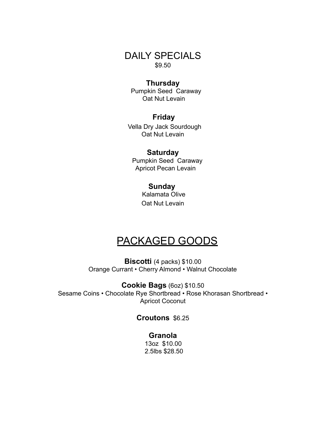DAILY SPECIALS \$9.50

#### **Thursday**

Pumpkin Seed Caraway Oat Nut Levain

#### **Friday**

Vella Dry Jack Sourdough Oat Nut Levain

#### **Saturday**

Pumpkin Seed Caraway Apricot Pecan Levain

#### **Sunday**

Kalamata Olive Oat Nut Levain

## PACKAGED GOODS

**Biscotti** (4 packs) \$10.00 Orange Currant • Cherry Almond • Walnut Chocolate

**Cookie Bags** (6oz) \$10.50 Sesame Coins • Chocolate Rye Shortbread • Rose Khorasan Shortbread • Apricot Coconut

#### **Croutons** \$6.25

**Granola** 13oz \$10.00 2.5lbs \$28.50